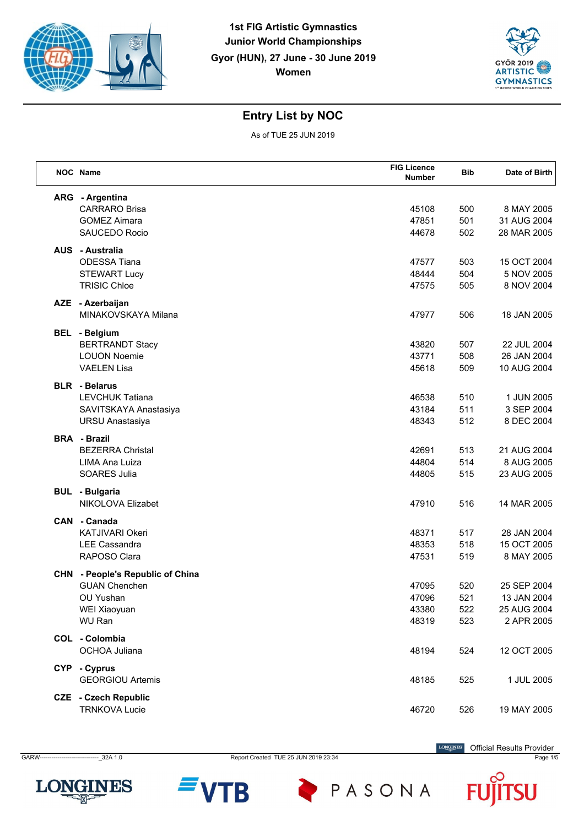



As of TUE 25 JUN 2019

|            | NOC Name                                  | <b>FIG Licence</b> | <b>Bib</b> | Date of Birth              |
|------------|-------------------------------------------|--------------------|------------|----------------------------|
|            |                                           | <b>Number</b>      |            |                            |
|            | ARG - Argentina                           |                    |            |                            |
|            | <b>CARRARO Brisa</b>                      | 45108              | 500        | 8 MAY 2005                 |
|            | <b>GOMEZ Aimara</b>                       | 47851              | 501        | 31 AUG 2004                |
|            | SAUCEDO Rocio                             | 44678              | 502        | 28 MAR 2005                |
|            | <b>AUS</b> - Australia                    |                    |            |                            |
|            | <b>ODESSA Tiana</b>                       | 47577              | 503        | 15 OCT 2004                |
|            | <b>STEWART Lucy</b>                       | 48444              | 504        | 5 NOV 2005                 |
|            | <b>TRISIC Chloe</b>                       | 47575              | 505        | 8 NOV 2004                 |
|            | AZE - Azerbaijan                          |                    |            |                            |
|            | MINAKOVSKAYA Milana                       | 47977              | 506        | 18 JAN 2005                |
|            |                                           |                    |            |                            |
|            | <b>BEL</b> - Belgium                      |                    |            |                            |
|            | <b>BERTRANDT Stacy</b>                    | 43820              | 507        | 22 JUL 2004                |
|            | <b>LOUON Noemie</b><br><b>VAELEN Lisa</b> | 43771<br>45618     | 508<br>509 | 26 JAN 2004<br>10 AUG 2004 |
|            |                                           |                    |            |                            |
|            | <b>BLR</b> - Belarus                      |                    |            |                            |
|            | <b>LEVCHUK Tatiana</b>                    | 46538              | 510        | 1 JUN 2005                 |
|            | SAVITSKAYA Anastasiya                     | 43184              | 511        | 3 SEP 2004                 |
|            | <b>URSU Anastasiya</b>                    | 48343              | 512        | 8 DEC 2004                 |
|            | <b>BRA - Brazil</b>                       |                    |            |                            |
|            | <b>BEZERRA Christal</b>                   | 42691              | 513        | 21 AUG 2004                |
|            | LIMA Ana Luiza                            | 44804              | 514        | 8 AUG 2005                 |
|            | <b>SOARES Julia</b>                       | 44805              | 515        | 23 AUG 2005                |
|            | <b>BUL</b> - Bulgaria                     |                    |            |                            |
|            | NIKOLOVA Elizabet                         | 47910              | 516        | 14 MAR 2005                |
|            | CAN - Canada                              |                    |            |                            |
|            | KATJIVARI Okeri                           | 48371              | 517        | 28 JAN 2004                |
|            | <b>LEE Cassandra</b>                      | 48353              | 518        | 15 OCT 2005                |
|            | RAPOSO Clara                              | 47531              | 519        | 8 MAY 2005                 |
| <b>CHN</b> | - People's Republic of China              |                    |            |                            |
|            | <b>GUAN Chenchen</b>                      | 47095              | 520        | 25 SEP 2004                |
|            | <b>OU Yushan</b>                          | 47096              | 521        | 13 JAN 2004                |
|            | WEI Xiaoyuan                              | 43380              | 522        | 25 AUG 2004                |
|            | WU Ran                                    | 48319              | 523        | 2 APR 2005                 |
|            | COL - Colombia                            |                    |            |                            |
|            | <b>OCHOA Juliana</b>                      | 48194              | 524        | 12 OCT 2005                |
|            |                                           |                    |            |                            |
|            | CYP - Cyprus<br><b>GEORGIOU Artemis</b>   | 48185              | 525        | 1 JUL 2005                 |
|            |                                           |                    |            |                            |
|            | <b>CZE</b> - Czech Republic               |                    |            |                            |
|            | <b>TRNKOVA Lucie</b>                      | 46720              | 526        | 19 MAY 2005                |



GARW------------------------------\_32A 1.0 Report Created TUE 25 JUN 2019 23:34 Page 1/5

B

**LONGINES** Official Results Provider

F

PASONA

SU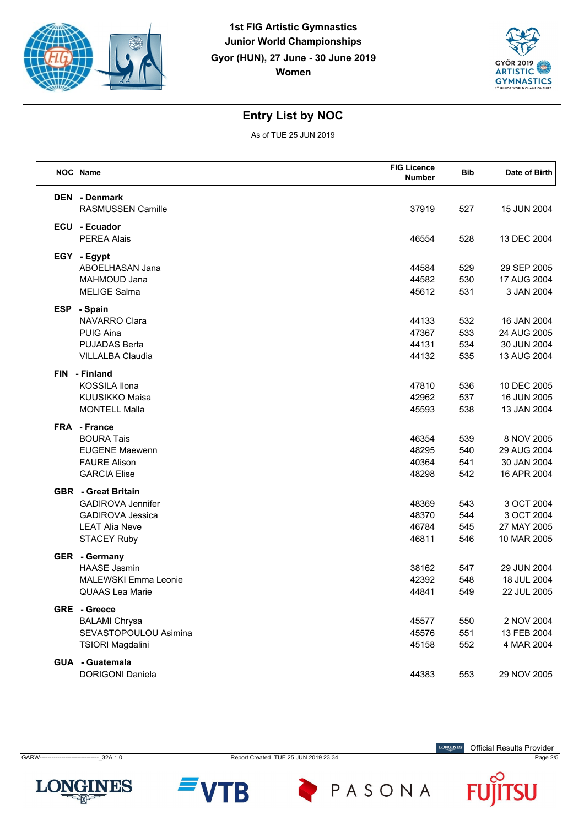



As of TUE 25 JUN 2019

| NOC Name                                                                                                                         | <b>FIG Licence</b><br><b>Number</b> | <b>Bib</b>               | Date of Birth                                            |
|----------------------------------------------------------------------------------------------------------------------------------|-------------------------------------|--------------------------|----------------------------------------------------------|
| <b>DEN</b> - Denmark<br>RASMUSSEN Camille                                                                                        | 37919                               | 527                      | 15 JUN 2004                                              |
| ECU - Ecuador<br><b>PEREA Alais</b>                                                                                              | 46554                               | 528                      | 13 DEC 2004                                              |
| EGY - Egypt<br>ABOELHASAN Jana<br>MAHMOUD Jana<br><b>MELIGE Salma</b>                                                            | 44584<br>44582<br>45612             | 529<br>530<br>531        | 29 SEP 2005<br>17 AUG 2004<br>3 JAN 2004                 |
| ESP - Spain<br>NAVARRO Clara<br><b>PUIG Aina</b><br><b>PUJADAS Berta</b><br><b>VILLALBA Claudia</b>                              | 44133<br>47367<br>44131<br>44132    | 532<br>533<br>534<br>535 | 16 JAN 2004<br>24 AUG 2005<br>30 JUN 2004<br>13 AUG 2004 |
| FIN - Finland<br><b>KOSSILA Ilona</b><br><b>KUUSIKKO Maisa</b><br><b>MONTELL Malla</b>                                           | 47810<br>42962<br>45593             | 536<br>537<br>538        | 10 DEC 2005<br>16 JUN 2005<br>13 JAN 2004                |
| FRA - France<br><b>BOURA Tais</b><br><b>EUGENE Maewenn</b><br><b>FAURE Alison</b><br><b>GARCIA Elise</b>                         | 46354<br>48295<br>40364<br>48298    | 539<br>540<br>541<br>542 | 8 NOV 2005<br>29 AUG 2004<br>30 JAN 2004<br>16 APR 2004  |
| <b>GBR</b> - Great Britain<br><b>GADIROVA Jennifer</b><br><b>GADIROVA Jessica</b><br><b>LEAT Alia Neve</b><br><b>STACEY Ruby</b> | 48369<br>48370<br>46784<br>46811    | 543<br>544<br>545<br>546 | 3 OCT 2004<br>3 OCT 2004<br>27 MAY 2005<br>10 MAR 2005   |
| <b>GER</b> - Germany<br><b>HAASE Jasmin</b><br><b>MALEWSKI Emma Leonie</b><br><b>QUAAS Lea Marie</b>                             | 38162<br>42392<br>44841             | 547<br>548<br>549        | 29 JUN 2004<br>18 JUL 2004<br>22 JUL 2005                |
| GRE - Greece<br><b>BALAMI Chrysa</b><br>SEVASTOPOULOU Asimina<br><b>TSIORI Magdalini</b>                                         | 45577<br>45576<br>45158             | 550<br>551<br>552        | 2 NOV 2004<br>13 FEB 2004<br>4 MAR 2004                  |
| GUA - Guatemala<br>DORIGONI Daniela                                                                                              | 44383                               | 553                      | 29 NOV 2005                                              |



B

PASONA

Official Results Provider

F

SU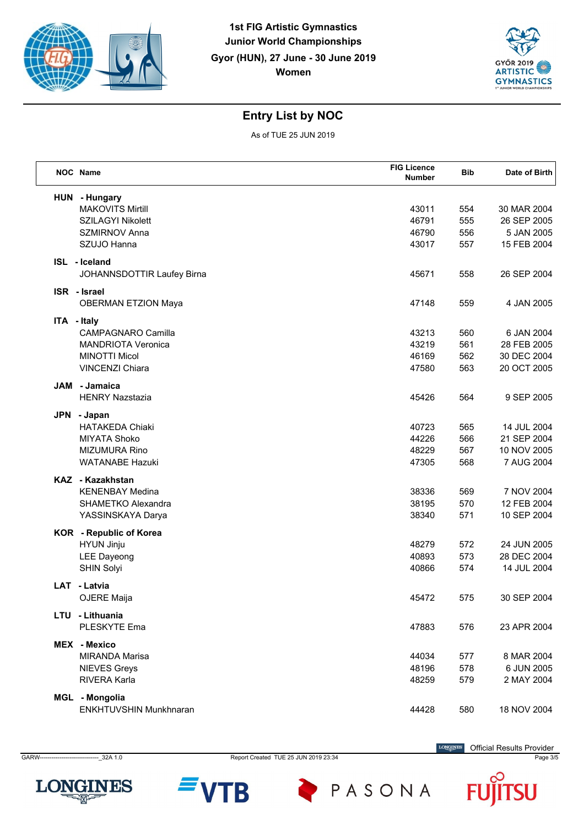



As of TUE 25 JUN 2019

| NOC Name                                    | <b>FIG Licence</b><br><b>Number</b> | <b>Bib</b> | Date of Birth |
|---------------------------------------------|-------------------------------------|------------|---------------|
| HUN - Hungary                               |                                     |            |               |
| <b>MAKOVITS Mirtill</b>                     | 43011                               | 554        | 30 MAR 2004   |
| SZILAGYI Nikolett                           | 46791                               | 555        | 26 SEP 2005   |
| <b>SZMIRNOV Anna</b>                        | 46790                               | 556        | 5 JAN 2005    |
| SZUJO Hanna                                 | 43017                               | 557        | 15 FEB 2004   |
| ISL - Iceland<br>JOHANNSDOTTIR Laufey Birna | 45671                               | 558        | 26 SEP 2004   |
|                                             |                                     |            |               |
| ISR - Israel<br><b>OBERMAN ETZION Maya</b>  | 47148                               | 559        | 4 JAN 2005    |
| ITA - Italy                                 |                                     |            |               |
| <b>CAMPAGNARO Camilla</b>                   | 43213                               | 560        | 6 JAN 2004    |
| <b>MANDRIOTA Veronica</b>                   | 43219                               | 561        | 28 FEB 2005   |
| <b>MINOTTI Micol</b>                        | 46169                               | 562        | 30 DEC 2004   |
| <b>VINCENZI Chiara</b>                      | 47580                               | 563        | 20 OCT 2005   |
| JAM - Jamaica                               |                                     |            |               |
| <b>HENRY Nazstazia</b>                      | 45426                               | 564        | 9 SEP 2005    |
| JPN - Japan                                 |                                     |            |               |
| <b>HATAKEDA Chiaki</b>                      | 40723                               | 565        | 14 JUL 2004   |
| <b>MIYATA Shoko</b>                         | 44226                               | 566        | 21 SEP 2004   |
| <b>MIZUMURA Rino</b>                        | 48229                               | 567        | 10 NOV 2005   |
| <b>WATANABE Hazuki</b>                      | 47305                               | 568        | 7 AUG 2004    |
| KAZ - Kazakhstan                            |                                     |            |               |
| <b>KENENBAY Medina</b>                      | 38336                               | 569        | 7 NOV 2004    |
| SHAMETKO Alexandra                          | 38195                               | 570        | 12 FEB 2004   |
| YASSINSKAYA Darya                           | 38340                               | 571        | 10 SEP 2004   |
| KOR - Republic of Korea                     |                                     |            |               |
| HYUN Jinju                                  | 48279                               | 572        | 24 JUN 2005   |
| <b>LEE Dayeong</b>                          | 40893                               | 573        | 28 DEC 2004   |
| <b>SHIN Solyi</b>                           | 40866                               | 574        | 14 JUL 2004   |
|                                             |                                     |            |               |
| LAT - Latvia<br>OJERE Maija                 | 45472                               | 575        | 30 SEP 2004   |
|                                             |                                     |            |               |
| LTU - Lithuania                             |                                     |            |               |
| PLESKYTE Ema                                | 47883                               | 576        | 23 APR 2004   |
| MEX - Mexico                                |                                     |            |               |
| <b>MIRANDA Marisa</b>                       | 44034                               | 577        | 8 MAR 2004    |
| <b>NIEVES Greys</b>                         | 48196                               | 578        | 6 JUN 2005    |
| RIVERA Karla                                | 48259                               | 579        | 2 MAY 2004    |
| MGL - Mongolia                              |                                     |            |               |
| <b>ENKHTUVSHIN Munkhnaran</b>               | 44428                               | 580        | 18 NOV 2004   |
|                                             |                                     |            |               |

**LONGINES** 

GARW------------------------------\_32A 1.0 Report Created TUE 25 JUN 2019 23:34 Page 3/5

Official Results Provider

**LONGINES** 

SU F



PASONA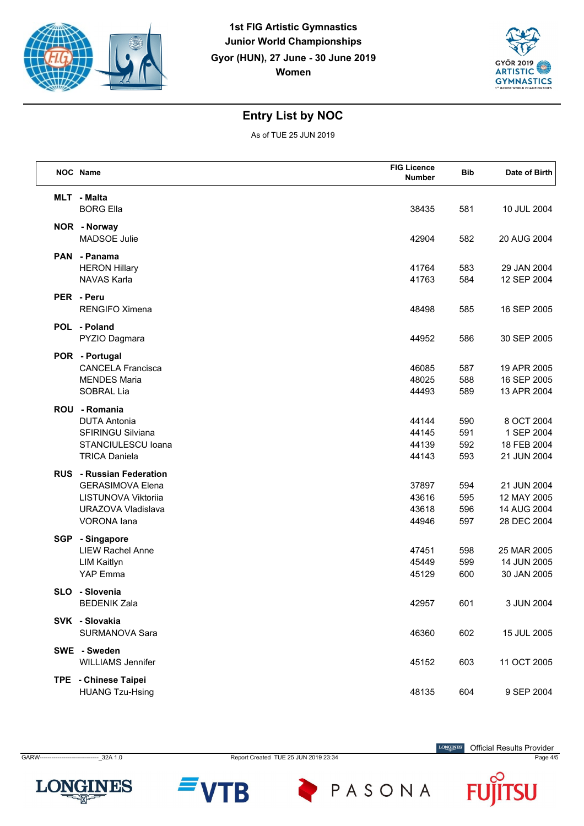



As of TUE 25 JUN 2019

|            | <b>NOC</b> Name                                                                                                                      | <b>FIG Licence</b><br><b>Number</b> | <b>Bib</b>               | Date of Birth                                            |
|------------|--------------------------------------------------------------------------------------------------------------------------------------|-------------------------------------|--------------------------|----------------------------------------------------------|
|            | <b>MLT</b> - Malta<br><b>BORG Ella</b>                                                                                               | 38435                               | 581                      | 10 JUL 2004                                              |
|            | NOR - Norway<br>MADSOE Julie                                                                                                         | 42904                               | 582                      | 20 AUG 2004                                              |
|            | PAN - Panama<br><b>HERON Hillary</b><br><b>NAVAS Karla</b>                                                                           | 41764<br>41763                      | 583<br>584               | 29 JAN 2004<br>12 SEP 2004                               |
|            | PER - Peru<br><b>RENGIFO Ximena</b>                                                                                                  | 48498                               | 585                      | 16 SEP 2005                                              |
|            | POL - Poland<br>PYZIO Dagmara                                                                                                        | 44952                               | 586                      | 30 SEP 2005                                              |
|            | POR - Portugal<br><b>CANCELA Francisca</b><br><b>MENDES Maria</b><br>SOBRAL Lia                                                      | 46085<br>48025<br>44493             | 587<br>588<br>589        | 19 APR 2005<br>16 SEP 2005<br>13 APR 2004                |
| <b>ROU</b> | - Romania<br><b>DUTA Antonia</b><br><b>SFIRINGU Silviana</b><br>STANCIULESCU Ioana<br><b>TRICA Daniela</b>                           | 44144<br>44145<br>44139<br>44143    | 590<br>591<br>592<br>593 | 8 OCT 2004<br>1 SEP 2004<br>18 FEB 2004<br>21 JUN 2004   |
|            | <b>RUS</b> - Russian Federation<br><b>GERASIMOVA Elena</b><br>LISTUNOVA Viktoriia<br><b>URAZOVA Vladislava</b><br><b>VORONA</b> lana | 37897<br>43616<br>43618<br>44946    | 594<br>595<br>596<br>597 | 21 JUN 2004<br>12 MAY 2005<br>14 AUG 2004<br>28 DEC 2004 |
| SGP        | - Singapore<br><b>LIEW Rachel Anne</b><br><b>LIM Kaitlyn</b><br>YAP Emma                                                             | 47451<br>45449<br>45129             | 598<br>599<br>600        | 25 MAR 2005<br>14 JUN 2005<br>30 JAN 2005                |
|            | SLO - Slovenia<br><b>BEDENIK Zala</b>                                                                                                | 42957                               | 601                      | 3 JUN 2004                                               |
|            | SVK - Slovakia<br>SURMANOVA Sara                                                                                                     | 46360                               | 602                      | 15 JUL 2005                                              |
|            | SWE - Sweden<br><b>WILLIAMS Jennifer</b>                                                                                             | 45152                               | 603                      | 11 OCT 2005                                              |
|            | TPE - Chinese Taipei<br><b>HUANG Tzu-Hsing</b>                                                                                       | 48135                               | 604                      | 9 SEP 2004                                               |

**LONGINES** 

GARW------------------------------\_32A 1.0 Report Created TUE 25 JUN 2019 23:34 Page 4/5

B

PASONA

Official Results Provider

SU F